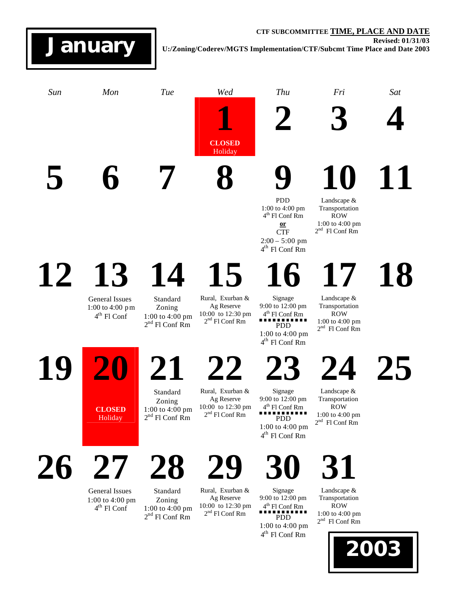## **CTF SUBCOMMITTEE TIME, PLACE AND DATE Revised: 01/31/03 U:/Zoning/Coderev/MGTS Implementation/CTF/Subcmt Time Place and Date 2003**



2 nd Fl Conf Rm

 $2<sup>nd</sup>$  Fl Conf Rm

**January**

4 th Fl Conf Rm PDD

1:00 to 4:00 pm 4 th Fl Conf Rm

ROW 1:00 to 4:00 pm

2 nd Fl Conf Rm

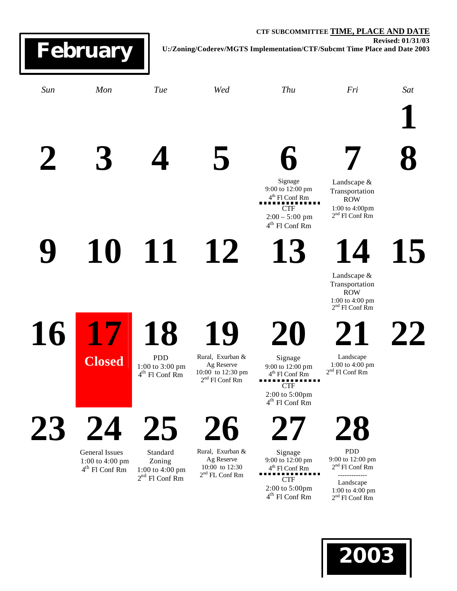## **CTF SUBCOMMITTEE TIME, PLACE AND DATE Revised: 01/31/03 U:/Zoning/Coderev/MGTS Implementation/CTF/Subcmt Time Place and Date 2003** *Sun Mon Tue Wed Thu Fri Sat* **1 2 3 4 5 6** Signage 9:00 to 12:00 pm 4 th Fl Conf Rm THE COME 2:00 – 5:00 pm 4 th Fl Conf Rm **7** Landscape & Transportation ROW 1:00 to 4:00pm 2 nd Fl Conf Rm **8 9 10 11 12 13 14** Landscape & Transportation ROW 1:00 to 4:00 pm 2 nd Fl Conf Rm **15 16 17 Closed 18** PDD 1:00 to 3:00 pm 4 th Fl Conf Rm **19** Rural, Exurban & Ag Reserve 10:00 to 12:30 pm 2 nd Fl Conf Rm **20** Signage 9:00 to 12:00 pm 4 th Fl Conf Rm \*\*\*\*\*\*\*\*\*\*\*\*\*\*<br>CTF 2:00 to 5:00pm 4 th Fl Conf Rm **21** Landscape 1:00 to 4:00 pm 2 nd Fl Conf Rm **22 23 24 25 26 27 28 February**

General Issues 1:00 to 4:00 pm 4 th Fl Conf Rm

Standard Zoning 1:00 to 4:00 pm  $2<sup>nd</sup>$  Fl Conf Rm

Rural, Exurban & Ag Reserve 10:00 to 12:30 2 nd FL Conf Rm

Signage 9:00 to 12:00 pm 4 th Fl Conf Rm THE CTF  $\blacksquare$ ., 2:00 to 5:00pm

4 th Fl Conf Rm

PDD 9:00 to 12:00 pm 2 nd Fl Conf Rm -------------

Landscape 1:00 to 4:00 pm 2 nd Fl Conf Rm

**2003**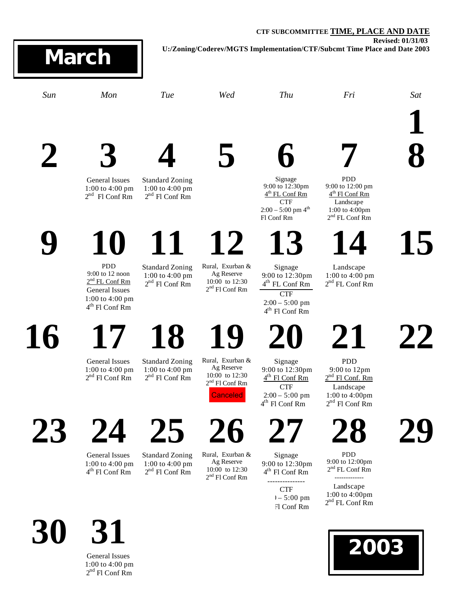## **CTF SUBCOMMITTEE TIME, PLACE AND DATE Revised: 01/31/03 U:/Zoning/Coderev/MGTS Implementation/CTF/Subcmt Time Place and Date 2003** *Sun Mon Tue Wed Thu Fri Sat* **1 2 3** General Issues 1:00 to 4:00 pm  $2<sup>nd</sup>$  Fl Conf Rm **4** Standard Zoning 1:00 to 4:00 pm  $2<sup>nd</sup>$  Fl Conf Rm **5 6** Signage 9:00 to 12:30pm 4<sup>th</sup> FL Conf Rm CTF  $2:00 - 5:00$  pm  $4^{\text{th}}$ Fl Conf Rm **7** PDD 9:00 to 12:00 pm 4<sup>th</sup> Fl Conf Rm Landscape 1:00 to 4:00pm 2 nd FL Conf Rm **8 9 10** PDD 9:00 to 12 noon  $2<sup>nd</sup> FL Conf Rm$ General Issues 1:00 to 4:00 pm 4 th Fl Conf Rm **11** Standard Zoning 1:00 to 4:00 pm  $2<sup>nd</sup>$  Fl Conf Rm **12** Rural, Exurban & Ag Reserve 10:00 to 12:30 2 nd Fl Conf Rm **13** Signage 9:00 to 12:30pm 4 th FL Conf Rm **CTF** 2:00 – 5:00 pm 4 th Fl Conf Rm **14** Landscape 1:00 to 4:00 pm  $2<sup>nd</sup>$  FL Conf Rm **15 16** General Issues 1:00 to 4:00 pm  $2<sup>nd</sup>$  Fl Conf Rm **18** Standard Zoning 1:00 to 4:00 pm  $2<sup>nd</sup>$  Fl Conf Rm **19** Rural, Exurban & Ag Reserve 10:00 to 12:30 2 nd Fl Conf Rm **20** Signage 9:00 to 12:30pm 4<sup>th</sup> Fl Conf Rm CTF  $2:00 - 5:00$  pm 4 th Fl Conf Rm **21** PDD 9:00 to 12pm  $2<sup>nd</sup>$  Fl Conf. Rm Landscape 1:00 to 4:00pm  $2<sup>nd</sup>$  Fl Conf Rm **22 23 24** General Issues 1:00 to 4:00 pm 4 th Fl Conf Rm **25** Standard Zoning 1:00 to 4:00 pm  $2<sup>nd</sup>$  Fl Conf Rm **26** Rural, Exurban & Ag Reserve 10:00 to 12:30 2 nd Fl Conf Rm **27** Signage 9:00 to 12:30pm 4 th Fl Conf Rm --------------- **CTF 28** PDD 9:00 to 12:00pm 2 nd FL Conf Rm ------------- Landscape 1:00 to 4:00pm **29 March Canceled**

**30 31** General Issues

1:00 to 4:00 pm  $2<sup>nd</sup>$  Fl Conf Rm

 $1 - 5:00 \text{ pm}$ Fl Conf Rm

2<sup>nd</sup> FL Conf Rm